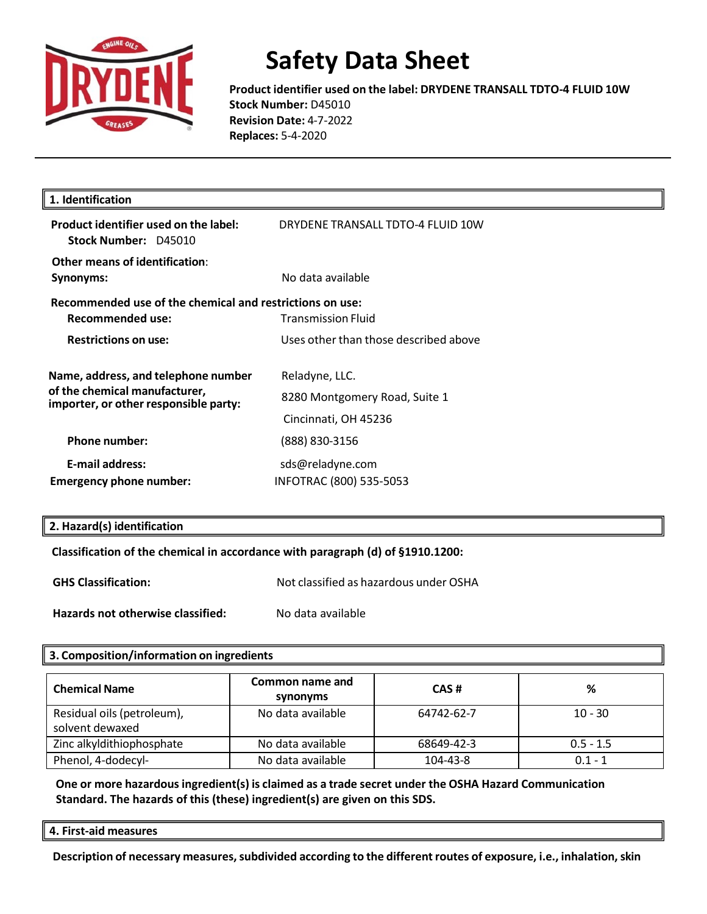

**Product identifier used on the label: DRYDENE TRANSALL TDTO-4 FLUID 10W Stock Number:** D45010 **Revision Date:** 4-7-2022 **Replaces:** 5-4-2020

| 1. Identification                                                                                             |                                                                         |
|---------------------------------------------------------------------------------------------------------------|-------------------------------------------------------------------------|
| Product identifier used on the label:<br>Stock Number: D45010                                                 | DRYDENE TRANSALL TDTO-4 FLUID 10W                                       |
| Other means of identification:<br>Synonyms:                                                                   | No data available                                                       |
| Recommended use of the chemical and restrictions on use:<br>Recommended use:                                  | <b>Transmission Fluid</b>                                               |
| <b>Restrictions on use:</b>                                                                                   | Uses other than those described above                                   |
| Name, address, and telephone number<br>of the chemical manufacturer,<br>importer, or other responsible party: | Reladyne, LLC.<br>8280 Montgomery Road, Suite 1<br>Cincinnati, OH 45236 |
| <b>Phone number:</b>                                                                                          | (888) 830-3156                                                          |
| <b>E-mail address:</b><br><b>Emergency phone number:</b>                                                      | sds@reladyne.com<br>INFOTRAC (800) 535-5053                             |

#### **2. Hazard(s) identification**

**Classification of the chemical in accordance with paragraph (d) of §1910.1200:** 

| <b>GHS Classification:</b>        | Not classified as hazardous under OSHA |
|-----------------------------------|----------------------------------------|
| Hazards not otherwise classified: | No data available                      |

#### **3. Composition/information on ingredients**

| <b>Chemical Name</b>                          | Common name and<br>synonyms | CAS#       | %           |
|-----------------------------------------------|-----------------------------|------------|-------------|
| Residual oils (petroleum),<br>solvent dewaxed | No data available           | 64742-62-7 | $10 - 30$   |
| Zinc alkyldithiophosphate                     | No data available           | 68649-42-3 | $0.5 - 1.5$ |
| Phenol, 4-dodecyl-                            | No data available           | 104-43-8   | $0.1 - 1$   |

**One or more hazardousingredient(s) is claimed as a trade secret under the OSHA Hazard Communication Standard. The hazards of this (these) ingredient(s) are given on this SDS.**

**4. First-aid measures**

**Description of necessary measures,subdivided according to the differentroutes of exposure, i.e., inhalation,skin**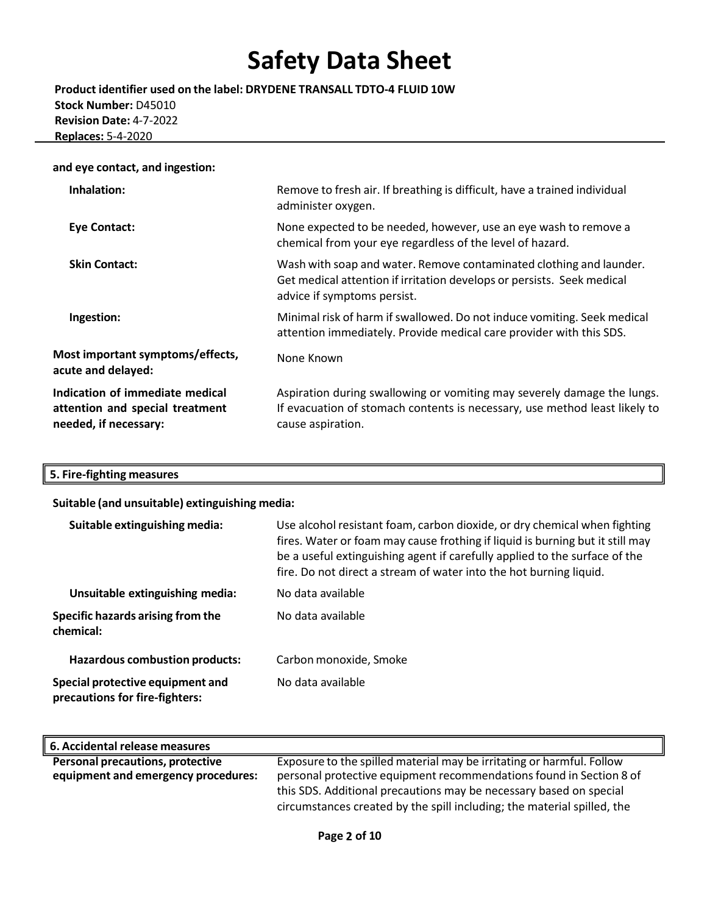**Product identifier used on the label: DRYDENE TRANSALL TDTO-4 FLUID 10W Stock Number:** D45010 **Revision Date:** 4-7-2022 **Replaces:** 5-4-2020

#### **and eye contact, and ingestion:**

| Inhalation:                                                                                 | Remove to fresh air. If breathing is difficult, have a trained individual<br>administer oxygen.                                                                              |
|---------------------------------------------------------------------------------------------|------------------------------------------------------------------------------------------------------------------------------------------------------------------------------|
| <b>Eye Contact:</b>                                                                         | None expected to be needed, however, use an eye wash to remove a<br>chemical from your eye regardless of the level of hazard.                                                |
| <b>Skin Contact:</b>                                                                        | Wash with soap and water. Remove contaminated clothing and launder.<br>Get medical attention if irritation develops or persists. Seek medical<br>advice if symptoms persist. |
| Ingestion:                                                                                  | Minimal risk of harm if swallowed. Do not induce vomiting. Seek medical<br>attention immediately. Provide medical care provider with this SDS.                               |
| Most important symptoms/effects,<br>acute and delayed:                                      | None Known                                                                                                                                                                   |
| Indication of immediate medical<br>attention and special treatment<br>needed, if necessary: | Aspiration during swallowing or vomiting may severely damage the lungs.<br>If evacuation of stomach contents is necessary, use method least likely to<br>cause aspiration.   |

### **5. Fire-fighting measures**

**Suitable (and unsuitable) extinguishing media:**

| Suitable extinguishing media:                                      | Use alcohol resistant foam, carbon dioxide, or dry chemical when fighting<br>fires. Water or foam may cause frothing if liquid is burning but it still may<br>be a useful extinguishing agent if carefully applied to the surface of the<br>fire. Do not direct a stream of water into the hot burning liquid. |
|--------------------------------------------------------------------|----------------------------------------------------------------------------------------------------------------------------------------------------------------------------------------------------------------------------------------------------------------------------------------------------------------|
| Unsuitable extinguishing media:                                    | No data available                                                                                                                                                                                                                                                                                              |
| Specific hazards arising from the<br>chemical:                     | No data available                                                                                                                                                                                                                                                                                              |
| <b>Hazardous combustion products:</b>                              | Carbon monoxide, Smoke                                                                                                                                                                                                                                                                                         |
| Special protective equipment and<br>precautions for fire-fighters: | No data available                                                                                                                                                                                                                                                                                              |

| 6. Accidental release measures          |                                                                         |
|-----------------------------------------|-------------------------------------------------------------------------|
| <b>Personal precautions, protective</b> | Exposure to the spilled material may be irritating or harmful. Follow   |
| equipment and emergency procedures:     | personal protective equipment recommendations found in Section 8 of     |
|                                         | this SDS. Additional precautions may be necessary based on special      |
|                                         | circumstances created by the spill including; the material spilled, the |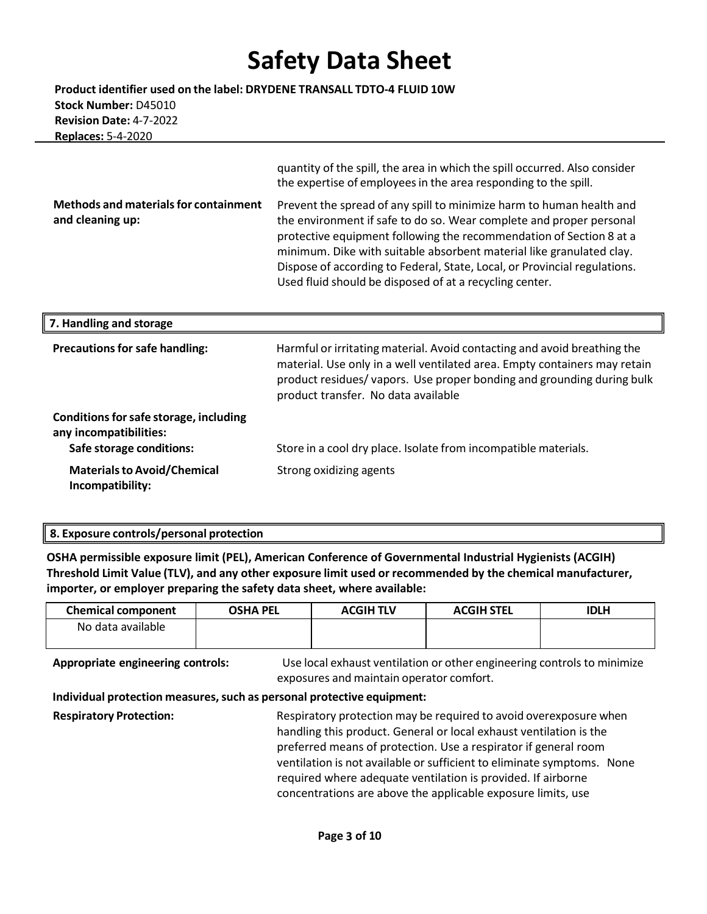**Product identifier used on the label: DRYDENE TRANSALL TDTO-4 FLUID 10W Stock Number:** D45010 **Revision Date:** 4-7-2022 **Replaces:** 5-4-2020

> quantity of the spill, the area in which the spill occurred. Also consider the expertise of employees in the area responding to the spill.

**Methods and materialsfor containment and cleaning up:**

Prevent the spread of any spill to minimize harm to human health and the environment if safe to do so. Wear complete and proper personal protective equipment following the recommendation of Section 8 at a minimum. Dike with suitable absorbent material like granulated clay. Dispose of according to Federal, State, Local, or Provincial regulations. Used fluid should be disposed of at a recycling center.

| 7. Handling and storage                                          |                                                                                                                                                                                                                                                                       |
|------------------------------------------------------------------|-----------------------------------------------------------------------------------------------------------------------------------------------------------------------------------------------------------------------------------------------------------------------|
| <b>Precautions for safe handling:</b>                            | Harmful or irritating material. Avoid contacting and avoid breathing the<br>material. Use only in a well ventilated area. Empty containers may retain<br>product residues/vapors. Use proper bonding and grounding during bulk<br>product transfer. No data available |
| Conditions for safe storage, including<br>any incompatibilities: |                                                                                                                                                                                                                                                                       |
| Safe storage conditions:                                         | Store in a cool dry place. Isolate from incompatible materials.                                                                                                                                                                                                       |
| <b>Materials to Avoid/Chemical</b><br>Incompatibility:           | Strong oxidizing agents                                                                                                                                                                                                                                               |

#### **8. Exposure controls/personal protection**

**OSHA permissible exposure limit (PEL), American Conference of Governmental Industrial Hygienists (ACGIH) Threshold Limit Value (TLV), and any other exposure limit used or recommended by the chemical manufacturer, importer, or employer preparing the safety data sheet, where available:**

| <b>Chemical component</b> | <b>OSHA PEL</b> | <b>ACGIH TLV</b> | <b>ACGIH STEL</b> | <b>IDLH</b> |
|---------------------------|-----------------|------------------|-------------------|-------------|
| No data available         |                 |                  |                   |             |
|                           |                 |                  |                   |             |

**Appropriate engineering controls:** Use local exhaust ventilation or other engineering controls to minimize exposures and maintain operator comfort.

#### **Individual protection measures,such as personal protective equipment:**

**Respiratory Protection:** Respiratory protection may be required to avoid overexposure when handling this product. General or local exhaust ventilation is the preferred means of protection. Use a respirator if general room ventilation is not available or sufficient to eliminate symptoms. None required where adequate ventilation is provided. If airborne concentrations are above the applicable exposure limits, use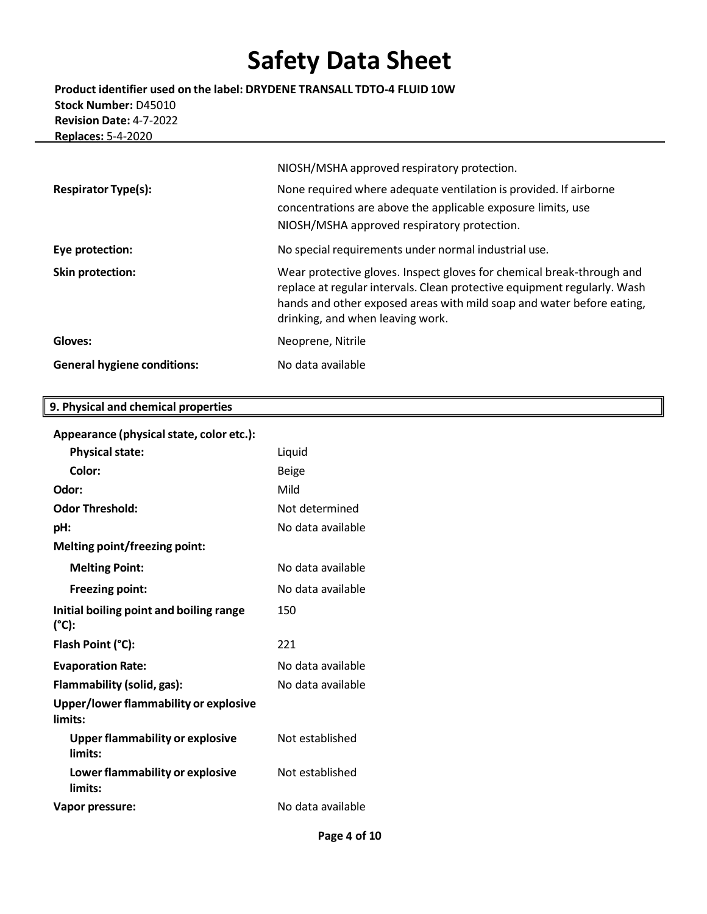**Product identifier used on the label: DRYDENE TRANSALL TDTO-4 FLUID 10W Stock Number:** D45010 **Revision Date:** 4-7-2022 **Replaces:** 5-4-2020

|                                    | NIOSH/MSHA approved respiratory protection.                                                                                                                                                                                                                    |
|------------------------------------|----------------------------------------------------------------------------------------------------------------------------------------------------------------------------------------------------------------------------------------------------------------|
| <b>Respirator Type(s):</b>         | None required where adequate ventilation is provided. If airborne<br>concentrations are above the applicable exposure limits, use<br>NIOSH/MSHA approved respiratory protection.                                                                               |
| Eye protection:                    | No special requirements under normal industrial use.                                                                                                                                                                                                           |
| <b>Skin protection:</b>            | Wear protective gloves. Inspect gloves for chemical break-through and<br>replace at regular intervals. Clean protective equipment regularly. Wash<br>hands and other exposed areas with mild soap and water before eating,<br>drinking, and when leaving work. |
| Gloves:                            | Neoprene, Nitrile                                                                                                                                                                                                                                              |
| <b>General hygiene conditions:</b> | No data available                                                                                                                                                                                                                                              |

### **9. Physical and chemical properties**

|  | Appearance (physical state, color etc.): |  |
|--|------------------------------------------|--|
|--|------------------------------------------|--|

| <b>Physical state:</b>                            | Liquid            |
|---------------------------------------------------|-------------------|
| Color:                                            | <b>Beige</b>      |
| Odor:                                             | Mild              |
| <b>Odor Threshold:</b>                            | Not determined    |
| pH:                                               | No data available |
| Melting point/freezing point:                     |                   |
| <b>Melting Point:</b>                             | No data available |
| <b>Freezing point:</b>                            | No data available |
| Initial boiling point and boiling range<br>(°C):  | 150               |
| Flash Point (°C):                                 | 221               |
| <b>Evaporation Rate:</b>                          | No data available |
| Flammability (solid, gas):                        | No data available |
| Upper/lower flammability or explosive<br>limits:  |                   |
| <b>Upper flammability or explosive</b><br>limits: | Not established   |
| Lower flammability or explosive<br>limits:        | Not established   |
| Vapor pressure:                                   | No data available |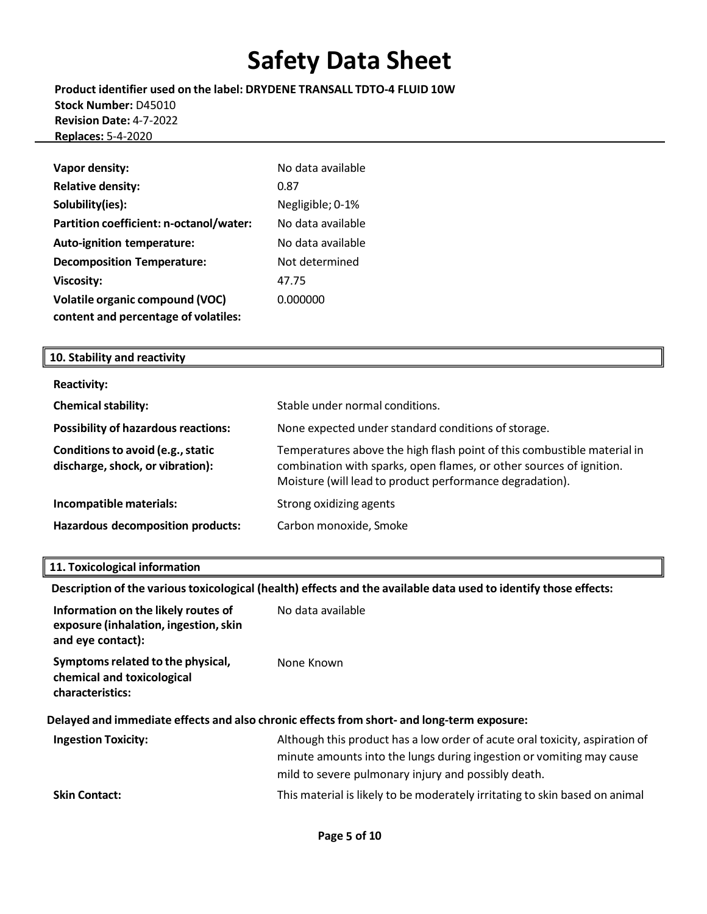**Product identifier used on the label: DRYDENE TRANSALL TDTO-4 FLUID 10W Stock Number:** D45010 **Revision Date:** 4-7-2022 **Replaces:** 5-4-2020

| Vapor density:                          | No data available |
|-----------------------------------------|-------------------|
| <b>Relative density:</b>                | 0.87              |
| Solubility(ies):                        | Negligible; 0-1%  |
| Partition coefficient: n-octanol/water: | No data available |
| <b>Auto-ignition temperature:</b>       | No data available |
| <b>Decomposition Temperature:</b>       | Not determined    |
| <b>Viscosity:</b>                       | 47.75             |
| <b>Volatile organic compound (VOC)</b>  | 0.000000          |
| content and percentage of volatiles:    |                   |

#### **10. Stability and reactivity**

| <b>Reactivity:</b>                                                    |                                                                                                                                                                                                            |
|-----------------------------------------------------------------------|------------------------------------------------------------------------------------------------------------------------------------------------------------------------------------------------------------|
| <b>Chemical stability:</b>                                            | Stable under normal conditions.                                                                                                                                                                            |
| <b>Possibility of hazardous reactions:</b>                            | None expected under standard conditions of storage.                                                                                                                                                        |
| Conditions to avoid (e.g., static<br>discharge, shock, or vibration): | Temperatures above the high flash point of this combustible material in<br>combination with sparks, open flames, or other sources of ignition.<br>Moisture (will lead to product performance degradation). |
| Incompatible materials:                                               | Strong oxidizing agents                                                                                                                                                                                    |
| Hazardous decomposition products:                                     | Carbon monoxide, Smoke                                                                                                                                                                                     |

#### **11. Toxicological information**

**Description of the varioustoxicological (health) effects and the available data used to identify those effects:**

| Information on the likely routes of<br>exposure (inhalation, ingestion, skin<br>and eye contact): | No data available                                                                                                                                                                                          |
|---------------------------------------------------------------------------------------------------|------------------------------------------------------------------------------------------------------------------------------------------------------------------------------------------------------------|
| Symptoms related to the physical,<br>chemical and toxicological<br>characteristics:               | None Known                                                                                                                                                                                                 |
|                                                                                                   | Delayed and immediate effects and also chronic effects from short- and long-term exposure:                                                                                                                 |
| <b>Ingestion Toxicity:</b>                                                                        | Although this product has a low order of acute oral toxicity, aspiration of<br>minute amounts into the lungs during ingestion or vomiting may cause<br>mild to severe pulmonary injury and possibly death. |
| <b>Skin Contact:</b>                                                                              | This material is likely to be moderately irritating to skin based on animal                                                                                                                                |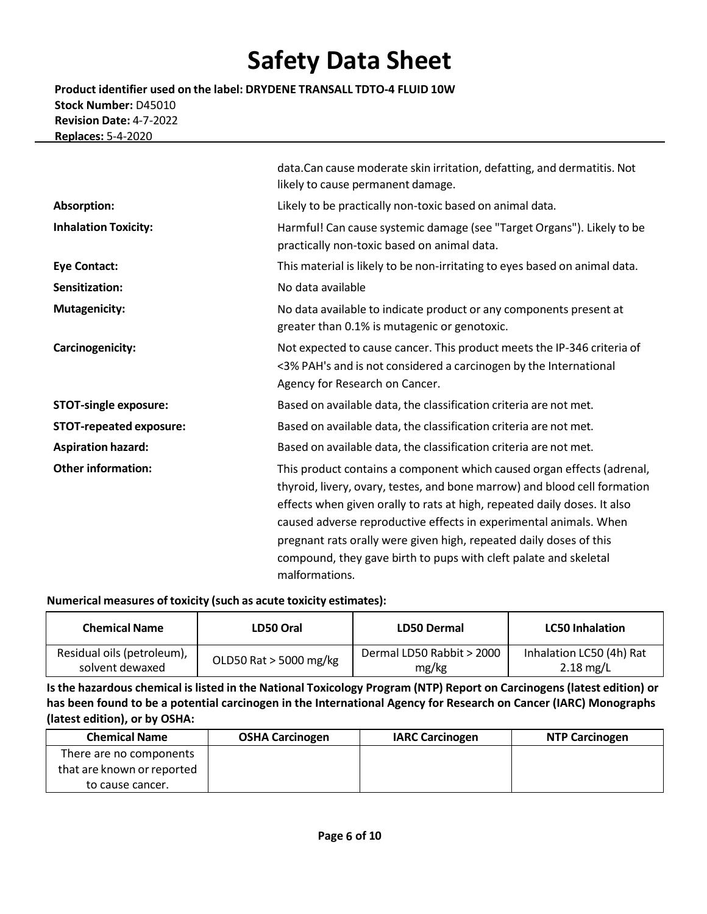**Product identifier used on the label: DRYDENE TRANSALL TDTO-4 FLUID 10W Stock Number:** D45010 **Revision Date:** 4-7-2022 **Replaces:** 5-4-2020

|                                | data. Can cause moderate skin irritation, defatting, and dermatitis. Not<br>likely to cause permanent damage.                                                                                                                                                                                                                                                                                                                                                    |
|--------------------------------|------------------------------------------------------------------------------------------------------------------------------------------------------------------------------------------------------------------------------------------------------------------------------------------------------------------------------------------------------------------------------------------------------------------------------------------------------------------|
| Absorption:                    | Likely to be practically non-toxic based on animal data.                                                                                                                                                                                                                                                                                                                                                                                                         |
| <b>Inhalation Toxicity:</b>    | Harmful! Can cause systemic damage (see "Target Organs"). Likely to be<br>practically non-toxic based on animal data.                                                                                                                                                                                                                                                                                                                                            |
| <b>Eye Contact:</b>            | This material is likely to be non-irritating to eyes based on animal data.                                                                                                                                                                                                                                                                                                                                                                                       |
| Sensitization:                 | No data available                                                                                                                                                                                                                                                                                                                                                                                                                                                |
| <b>Mutagenicity:</b>           | No data available to indicate product or any components present at<br>greater than 0.1% is mutagenic or genotoxic.                                                                                                                                                                                                                                                                                                                                               |
| Carcinogenicity:               | Not expected to cause cancer. This product meets the IP-346 criteria of<br><3% PAH's and is not considered a carcinogen by the International<br>Agency for Research on Cancer.                                                                                                                                                                                                                                                                                   |
| <b>STOT-single exposure:</b>   | Based on available data, the classification criteria are not met.                                                                                                                                                                                                                                                                                                                                                                                                |
| <b>STOT-repeated exposure:</b> | Based on available data, the classification criteria are not met.                                                                                                                                                                                                                                                                                                                                                                                                |
| <b>Aspiration hazard:</b>      | Based on available data, the classification criteria are not met.                                                                                                                                                                                                                                                                                                                                                                                                |
| <b>Other information:</b>      | This product contains a component which caused organ effects (adrenal,<br>thyroid, livery, ovary, testes, and bone marrow) and blood cell formation<br>effects when given orally to rats at high, repeated daily doses. It also<br>caused adverse reproductive effects in experimental animals. When<br>pregnant rats orally were given high, repeated daily doses of this<br>compound, they gave birth to pups with cleft palate and skeletal<br>malformations. |

#### **Numerical measures of toxicity (such as acute toxicity estimates):**

| <b>Chemical Name</b>       | LD50 Oral              | LD50 Dermal               | <b>LC50 Inhalation</b>   |
|----------------------------|------------------------|---------------------------|--------------------------|
| Residual oils (petroleum), | OLD50 Rat > 5000 mg/kg | Dermal LD50 Rabbit > 2000 | Inhalation LC50 (4h) Rat |
| solvent dewaxed            |                        | mg/kg                     | $2.18 \text{ mg/L}$      |

Is the hazardous chemical is listed in the National Toxicology Program (NTP) Report on Carcinogens (latest edition) or **has been found to be a potential carcinogen in the International Agency for Research on Cancer (IARC) Monographs (latest edition), or by OSHA:**

| <b>Chemical Name</b>       | <b>OSHA Carcinogen</b> | <b>IARC Carcinogen</b> | <b>NTP Carcinogen</b> |
|----------------------------|------------------------|------------------------|-----------------------|
| There are no components    |                        |                        |                       |
| that are known or reported |                        |                        |                       |
| to cause cancer.           |                        |                        |                       |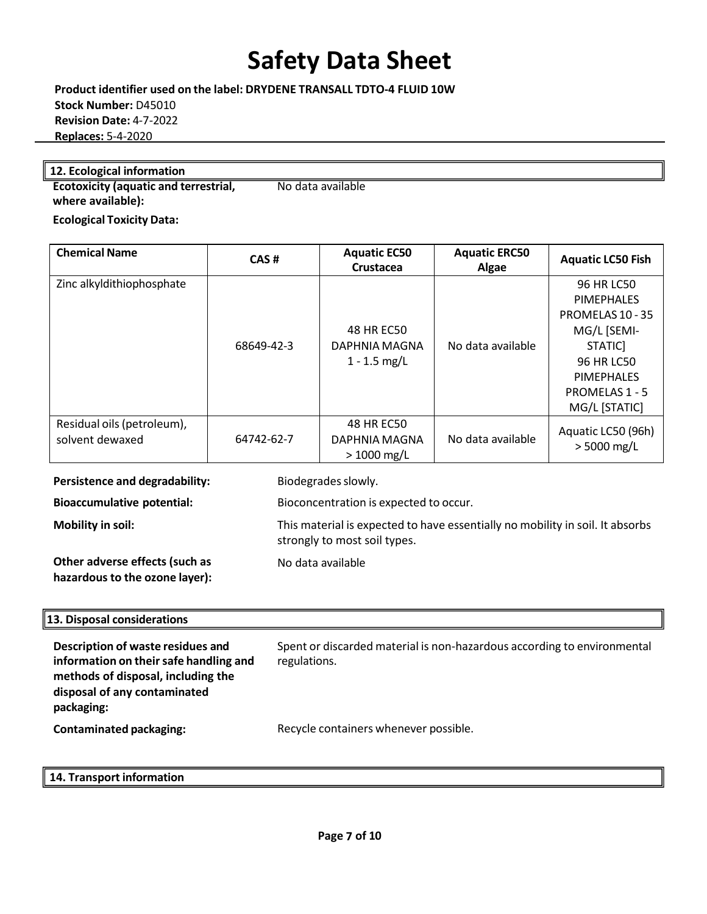**Product identifier used on the label: DRYDENE TRANSALL TDTO-4 FLUID 10W Stock Number:** D45010 **Revision Date:** 4-7-2022 **Replaces:** 5-4-2020

### **12. Ecological information**

**Ecotoxicity (aquatic and terrestrial, where available):**  No data available

**Ecological Toxicity Data:**

| <b>Chemical Name</b>                          | CAS#       | <b>Aquatic EC50</b><br>Crustacea              | <b>Aquatic ERC50</b><br>Algae | <b>Aquatic LC50 Fish</b>                                                                                                                                          |
|-----------------------------------------------|------------|-----------------------------------------------|-------------------------------|-------------------------------------------------------------------------------------------------------------------------------------------------------------------|
| Zinc alkyldithiophosphate                     | 68649-42-3 | 48 HR EC50<br>DAPHNIA MAGNA<br>$1 - 1.5$ mg/L | No data available             | 96 HR LC50<br><b>PIMEPHALES</b><br>PROMELAS 10 - 35<br>MG/L [SEMI-<br>STATIC]<br><b>96 HR LC50</b><br><b>PIMEPHALES</b><br><b>PROMELAS 1 - 5</b><br>MG/L [STATIC] |
| Residual oils (petroleum),<br>solvent dewaxed | 64742-62-7 | 48 HR EC50<br>DAPHNIA MAGNA<br>$> 1000$ mg/L  | No data available             | Aquatic LC50 (96h)<br>$> 5000$ mg/L                                                                                                                               |

**Persistence and degradability:** Biodegrades slowly.

**Bioaccumulative potential:** Bioconcentration is expected to occur.

**Mobility in soil:** This material is expected to have essentially no mobility in soil. It absorbs

**Other adverse effects (such as hazardous to the ozone layer):** No data available

strongly to most soil types.

### **13. Disposal considerations**

**Description of waste residues and information on theirsafe handling and methods of disposal, including the disposal of any contaminated packaging:** Spent or discarded material is non-hazardous according to environmental regulations. **Contaminated packaging:** Recycle containers whenever possible.

**14. Transport information**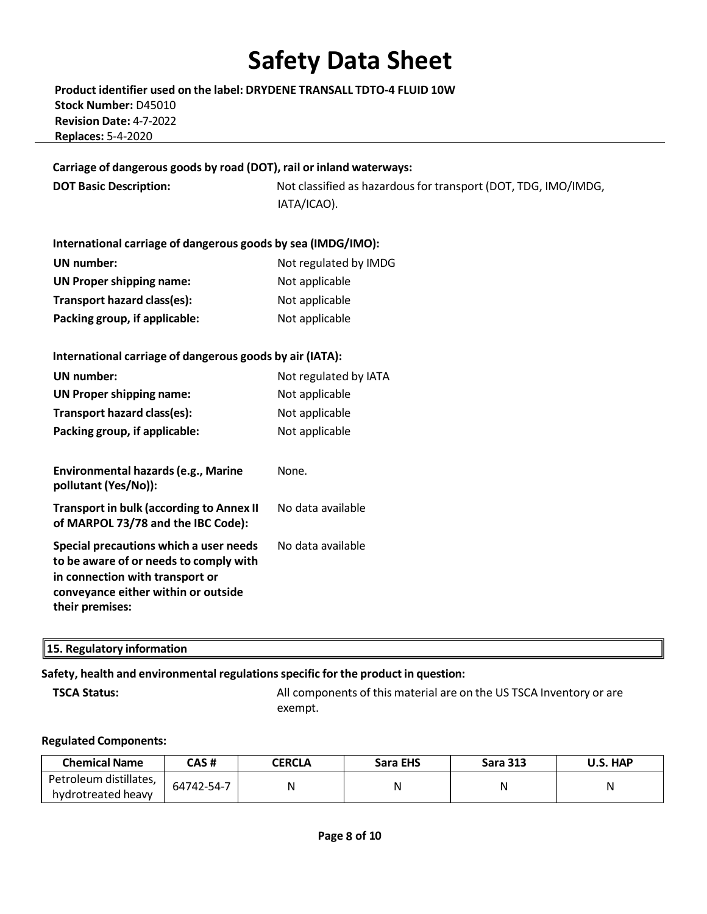**Product identifier used on the label: DRYDENE TRANSALL TDTO-4 FLUID 10W Stock Number:** D45010 **Revision Date:** 4-7-2022 **Replaces:** 5-4-2020

**Carriage of dangerous goods by road (DOT), rail or inland waterways:**

**DOT Basic Description:** Not classified as hazardous for transport (DOT, TDG, IMO/IMDG, IATA/ICAO).

| International carriage of dangerous goods by sea (IMDG/IMO): |                       |  |  |
|--------------------------------------------------------------|-----------------------|--|--|
| UN number:                                                   | Not regulated by IMDG |  |  |
| <b>UN Proper shipping name:</b>                              | Not applicable        |  |  |
| Transport hazard class(es):                                  | Not applicable        |  |  |
| Packing group, if applicable:                                | Not applicable        |  |  |

| International carriage of dangerous goods by air (IATA):                                                                                                                      |                       |
|-------------------------------------------------------------------------------------------------------------------------------------------------------------------------------|-----------------------|
| UN number:                                                                                                                                                                    | Not regulated by IATA |
| <b>UN Proper shipping name:</b>                                                                                                                                               | Not applicable        |
| Transport hazard class(es):                                                                                                                                                   | Not applicable        |
| Packing group, if applicable:                                                                                                                                                 | Not applicable        |
|                                                                                                                                                                               |                       |
| Environmental hazards (e.g., Marine<br>pollutant (Yes/No)):                                                                                                                   | None.                 |
| <b>Transport in bulk (according to Annex II</b><br>of MARPOL 73/78 and the IBC Code):                                                                                         | No data available     |
| Special precautions which a user needs<br>to be aware of or needs to comply with<br>in connection with transport or<br>conveyance either within or outside<br>their premises: | No data available     |

| $\parallel$ 15. Regulatory information |  |
|----------------------------------------|--|
|----------------------------------------|--|

### **Safety, health and environmental regulationsspecific for the product in question:**

**TSCA Status:** All components of this material are on the US TSCA Inventory or are exempt.

#### **Regulated Components:**

| <b>Chemical Name</b>                         | CAS #      | <b>CERCLA</b> | Sara EHS | <b>Sara 313</b> | U.S. HAP |
|----------------------------------------------|------------|---------------|----------|-----------------|----------|
| Petroleum distillates,<br>hydrotreated heavy | 64742-54-7 |               |          |                 | Ν        |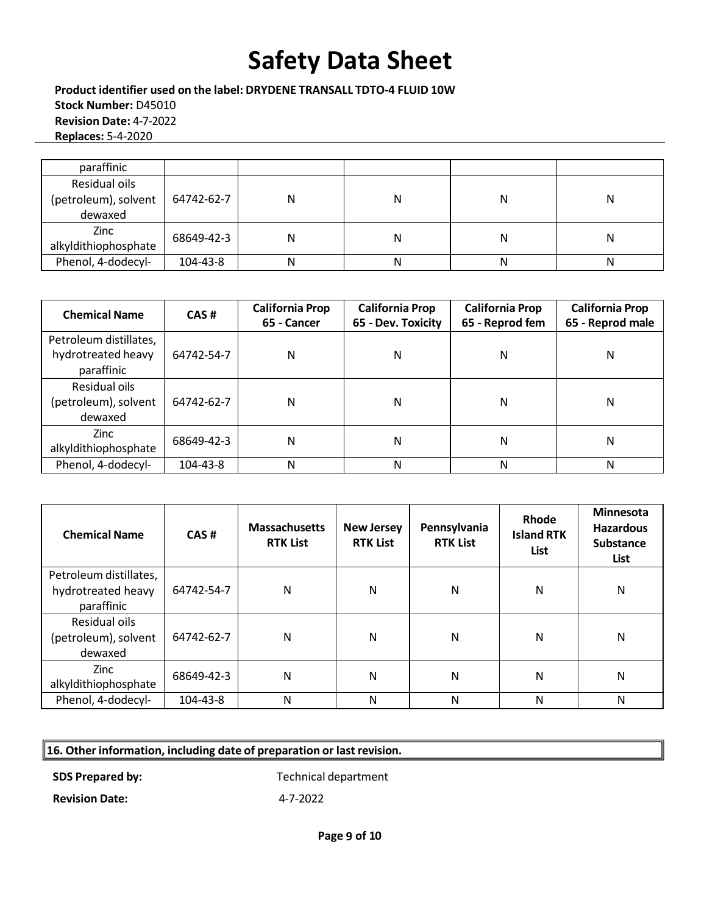**Product identifier used on the label: DRYDENE TRANSALL TDTO-4 FLUID 10W Stock Number:** D45010 **Revision Date:** 4-7-2022 **Replaces:** 5-4-2020

| paraffinic           |            |   |   |   |   |
|----------------------|------------|---|---|---|---|
| Residual oils        |            |   |   |   |   |
| (petroleum), solvent | 64742-62-7 | N | Ν | Ν | Ν |
| dewaxed              |            |   |   |   |   |
| Zinc                 | 68649-42-3 | Ν | N | Ν | Ν |
| alkyldithiophosphate |            |   |   |   |   |
| Phenol, 4-dodecyl-   | 104-43-8   | N | N | N | N |

| <b>Chemical Name</b>                                       | CAS#       | <b>California Prop</b><br>65 - Cancer | <b>California Prop</b><br>65 - Dev. Toxicity | <b>California Prop</b><br>65 - Reprod fem | <b>California Prop</b><br>65 - Reprod male |
|------------------------------------------------------------|------------|---------------------------------------|----------------------------------------------|-------------------------------------------|--------------------------------------------|
| Petroleum distillates,<br>hydrotreated heavy<br>paraffinic | 64742-54-7 | N                                     | Ν                                            | Ν                                         | N                                          |
| Residual oils<br>(petroleum), solvent<br>dewaxed           | 64742-62-7 | N                                     | Ν                                            | Ν                                         | N                                          |
| <b>Zinc</b><br>alkyldithiophosphate                        | 68649-42-3 | N                                     | Ν                                            | Ν                                         | N                                          |
| Phenol, 4-dodecyl-                                         | 104-43-8   | N                                     | Ν                                            | N                                         | N                                          |

| <b>Chemical Name</b>                                       | CAS#       | <b>Massachusetts</b><br><b>RTK List</b> | <b>New Jersey</b><br><b>RTK List</b> | Pennsylvania<br><b>RTK List</b> | Rhode<br><b>Island RTK</b><br><b>List</b> | <b>Minnesota</b><br><b>Hazardous</b><br><b>Substance</b><br>List |
|------------------------------------------------------------|------------|-----------------------------------------|--------------------------------------|---------------------------------|-------------------------------------------|------------------------------------------------------------------|
| Petroleum distillates,<br>hydrotreated heavy<br>paraffinic | 64742-54-7 | N                                       | N                                    | N                               | N                                         | N                                                                |
| Residual oils<br>(petroleum), solvent<br>dewaxed           | 64742-62-7 | N                                       | N                                    | N                               | N                                         | N                                                                |
| Zinc<br>alkyldithiophosphate                               | 68649-42-3 | N                                       | N                                    | N                               | N                                         | N                                                                |
| Phenol, 4-dodecyl-                                         | 104-43-8   | N                                       | N                                    | N                               | N                                         | N                                                                |

### **16. Other information, including date of preparation or last revision.**

**SDS Prepared by:** Technical department

**Revision Date:** 4-7-2022

**Page 9 of 10**